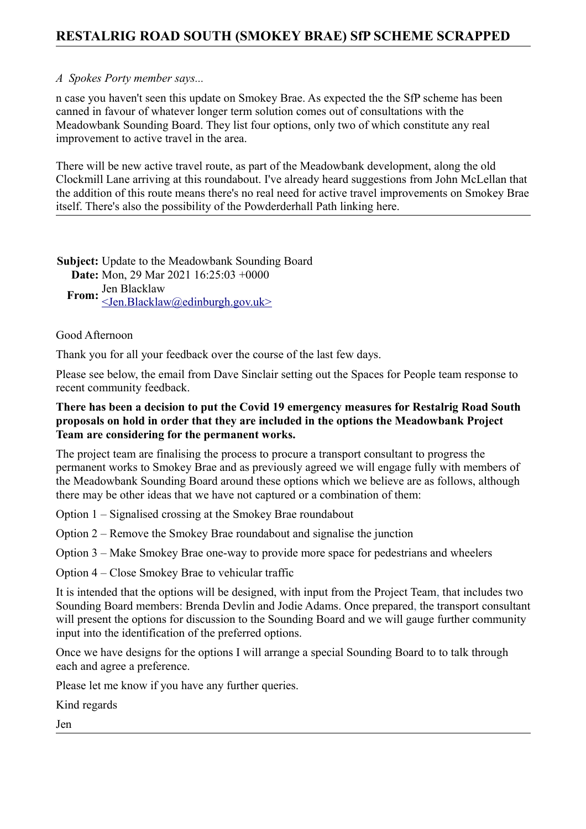## **RESTALRIG ROAD SOUTH (SMOKEY BRAE) SfP SCHEME SCRAPPED**

## *A Spokes Porty member says...*

n case you haven't seen this update on Smokey Brae. As expected the the SfP scheme has been canned in favour of whatever longer term solution comes out of consultations with the Meadowbank Sounding Board. They list four options, only two of which constitute any real improvement to active travel in the area.

There will be new active travel route, as part of the Meadowbank development, along the old Clockmill Lane arriving at this roundabout. I've already heard suggestions from John McLellan that the addition of this route means there's no real need for active travel improvements on Smokey Brae itself. There's also the possibility of the Powderderhall Path linking here.

**Subject:** Update to the Meadowbank Sounding Board **Date:** Mon, 29 Mar 2021 16:25:03 +0000 **From:** Jen Blacklaw  $\le$ Jen.Blacklaw@edinburgh.gov.uk $\ge$ 

## Good Afternoon

Thank you for all your feedback over the course of the last few days.

Please see below, the email from Dave Sinclair setting out the Spaces for People team response to recent community feedback.

## **There has been a decision to put the Covid 19 emergency measures for Restalrig Road South proposals on hold in order that they are included in the options the Meadowbank Project Team are considering for the permanent works.**

The project team are finalising the process to procure a transport consultant to progress the permanent works to Smokey Brae and as previously agreed we will engage fully with members of the Meadowbank Sounding Board around these options which we believe are as follows, although there may be other ideas that we have not captured or a combination of them:

Option 1 – Signalised crossing at the Smokey Brae roundabout

Option 2 – Remove the Smokey Brae roundabout and signalise the junction

Option 3 – Make Smokey Brae one-way to provide more space for pedestrians and wheelers

Option 4 – Close Smokey Brae to vehicular traffic

It is intended that the options will be designed, with input from the Project Team, that includes two Sounding Board members: Brenda Devlin and Jodie Adams. Once prepared, the transport consultant will present the options for discussion to the Sounding Board and we will gauge further community input into the identification of the preferred options.

Once we have designs for the options I will arrange a special Sounding Board to to talk through each and agree a preference.

Please let me know if you have any further queries.

Kind regards

Jen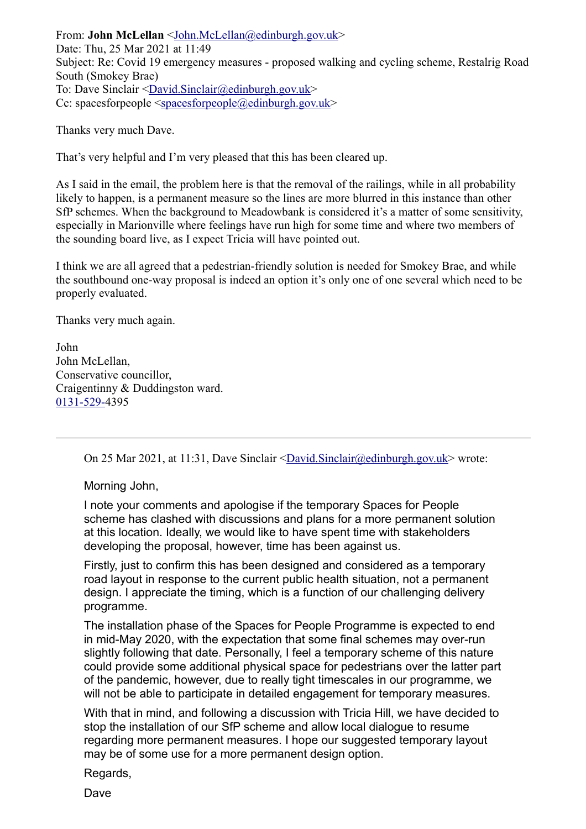From: **John McLellan** [<John.McLellan@edinburgh.gov.uk>](mailto:John.McLellan@edinburgh.gov.uk) Date: Thu, 25 Mar 2021 at 11:49 Subject: Re: Covid 19 emergency measures - proposed walking and cycling scheme, Restalrig Road South (Smokey Brae) To: Dave Sinclair [<David.Sinclair@edinburgh.gov.uk>](mailto:David.Sinclair@edinburgh.gov.uk) Cc: spacesforpeople  $\langle$ spacesforpeople $\langle$ @edinburgh.gov.uk>

Thanks very much Dave.

That's very helpful and I'm very pleased that this has been cleared up.

As I said in the email, the problem here is that the removal of the railings, while in all probability likely to happen, is a permanent measure so the lines are more blurred in this instance than other SfP schemes. When the background to Meadowbank is considered it's a matter of some sensitivity, especially in Marionville where feelings have run high for some time and where two members of the sounding board live, as I expect Tricia will have pointed out.

I think we are all agreed that a pedestrian-friendly solution is needed for Smokey Brae, and while the southbound one-way proposal is indeed an option it's only one of one several which need to be properly evaluated.

Thanks very much again.

John John McLellan, Conservative councillor, Craigentinny & Duddingston ward. [0131-529-4](tel:0131-529-4395)395

On 25 Mar 2021, at 11:31, Dave Sinclair [<David.Sinclair@edinburgh.gov.uk>](mailto:David.Sinclair@edinburgh.gov.uk) wrote:

Morning John,

I note your comments and apologise if the temporary Spaces for People scheme has clashed with discussions and plans for a more permanent solution at this location. Ideally, we would like to have spent time with stakeholders developing the proposal, however, time has been against us.

Firstly, just to confirm this has been designed and considered as a temporary road layout in response to the current public health situation, not a permanent design. I appreciate the timing, which is a function of our challenging delivery programme.

The installation phase of the Spaces for People Programme is expected to end in mid-May 2020, with the expectation that some final schemes may over-run slightly following that date. Personally, I feel a temporary scheme of this nature could provide some additional physical space for pedestrians over the latter part of the pandemic, however, due to really tight timescales in our programme, we will not be able to participate in detailed engagement for temporary measures.

With that in mind, and following a discussion with Tricia Hill, we have decided to stop the installation of our SfP scheme and allow local dialogue to resume regarding more permanent measures. I hope our suggested temporary layout may be of some use for a more permanent design option.

Regards,

Dave